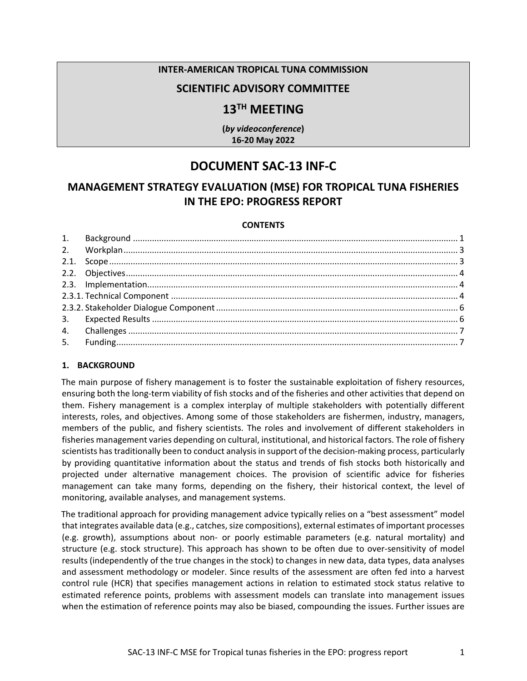#### **INTER-AMERICAN TROPICAL TUNA COMMISSION**

# **SCIENTIFIC ADVISORY COMMITTEE**

# **13TH MEETING**

**(***by videoconference***) 16-20 May 2022** 

# **DOCUMENT SAC-13 INF-C**

# **MANAGEMENT STRATEGY EVALUATION (MSE) FOR TROPICAL TUNA FISHERIES IN THE EPO: PROGRESS REPORT**

#### **CONTENTS**

#### <span id="page-0-0"></span>**1. BACKGROUND**

The main purpose of fishery management is to foster the sustainable exploitation of fishery resources, ensuring both the long-term viability of fish stocks and of the fisheries and other activities that depend on them. Fishery management is a complex interplay of multiple stakeholders with potentially different interests, roles, and objectives. Among some of those stakeholders are fishermen, industry, managers, members of the public, and fishery scientists. The roles and involvement of different stakeholders in fisheries management varies depending on cultural, institutional, and historical factors. The role of fishery scientists has traditionally been to conduct analysis in support of the decision-making process, particularly by providing quantitative information about the status and trends of fish stocks both historically and projected under alternative management choices. The provision of scientific advice for fisheries management can take many forms, depending on the fishery, their historical context, the level of monitoring, available analyses, and management systems.

The traditional approach for providing management advice typically relies on a "best assessment" model that integrates available data (e.g., catches, size compositions), external estimates of important processes (e.g. growth), assumptions about non- or poorly estimable parameters (e.g. natural mortality) and structure (e.g. stock structure). This approach has shown to be often due to over-sensitivity of model results (independently of the true changes in the stock) to changes in new data, data types, data analyses and assessment methodology or modeler. Since results of the assessment are often fed into a harvest control rule (HCR) that specifies management actions in relation to estimated stock status relative to estimated reference points, problems with assessment models can translate into management issues when the estimation of reference points may also be biased, compounding the issues. Further issues are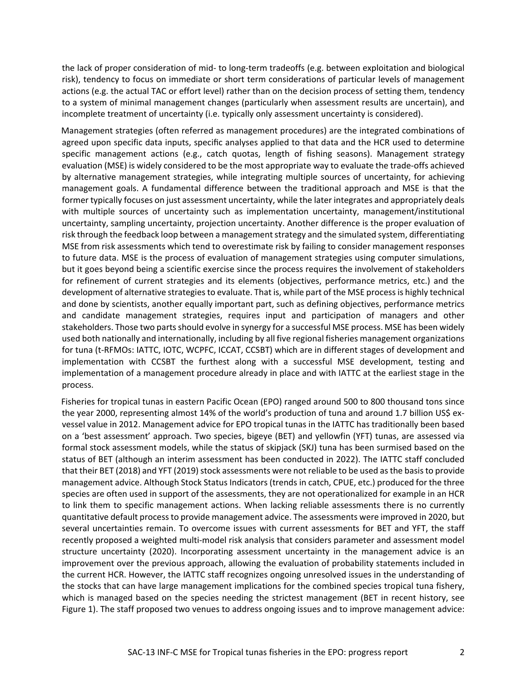the lack of proper consideration of mid- to long-term tradeoffs (e.g. between exploitation and biological risk), tendency to focus on immediate or short term considerations of particular levels of management actions (e.g. the actual TAC or effort level) rather than on the decision process of setting them, tendency to a system of minimal management changes (particularly when assessment results are uncertain), and incomplete treatment of uncertainty (i.e. typically only assessment uncertainty is considered).

Management strategies (often referred as management procedures) are the integrated combinations of agreed upon specific data inputs, specific analyses applied to that data and the HCR used to determine specific management actions (e.g., catch quotas, length of fishing seasons). Management strategy evaluation (MSE) is widely considered to be the most appropriate way to evaluate the trade-offs achieved by alternative management strategies, while integrating multiple sources of uncertainty, for achieving management goals. A fundamental difference between the traditional approach and MSE is that the former typically focuses on just assessment uncertainty, while the later integrates and appropriately deals with multiple sources of uncertainty such as implementation uncertainty, management/institutional uncertainty, sampling uncertainty, projection uncertainty. Another difference is the proper evaluation of risk through the feedback loop between a management strategy and the simulated system, differentiating MSE from risk assessments which tend to overestimate risk by failing to consider management responses to future data. MSE is the process of evaluation of management strategies using computer simulations, but it goes beyond being a scientific exercise since the process requires the involvement of stakeholders for refinement of current strategies and its elements (objectives, performance metrics, etc.) and the development of alternative strategiesto evaluate. That is, while part of the MSE process is highly technical and done by scientists, another equally important part, such as defining objectives, performance metrics and candidate management strategies, requires input and participation of managers and other stakeholders. Those two parts should evolve in synergy for a successful MSE process. MSE has been widely used both nationally and internationally, including by all five regional fisheries management organizations for tuna (t-RFMOs: IATTC, IOTC, WCPFC, ICCAT, CCSBT) which are in different stages of development and implementation with CCSBT the furthest along with a successful MSE development, testing and implementation of a management procedure already in place and with IATTC at the earliest stage in the process.

Fisheries for tropical tunas in eastern Pacific Ocean (EPO) ranged around 500 to 800 thousand tons since the year 2000, representing almost 14% of the world's production of tuna and around 1.7 billion US\$ exvessel value in 2012. Management advice for EPO tropical tunas in the IATTC has traditionally been based on a 'best assessment' approach. Two species, bigeye (BET) and yellowfin (YFT) tunas, are assessed via formal stock assessment models, while the status of skipjack (SKJ) tuna has been surmised based on the status of BET (although an interim assessment has been conducted in 2022). The IATTC staff concluded that their BET (2018) and YFT (2019) stock assessments were not reliable to be used as the basis to provide management advice. Although Stock Status Indicators (trends in catch, CPUE, etc.) produced for the three species are often used in support of the assessments, they are not operationalized for example in an HCR to link them to specific management actions. When lacking reliable assessments there is no currently quantitative default process to provide management advice. The assessments were improved in 2020, but several uncertainties remain. To overcome issues with current assessments for BET and YFT, the staff recently proposed a weighted multi-model risk analysis that considers parameter and assessment model structure uncertainty (2020). Incorporating assessment uncertainty in the management advice is an improvement over the previous approach, allowing the evaluation of probability statements included in the current HCR. However, the IATTC staff recognizes ongoing unresolved issues in the understanding of the stocks that can have large management implications for the combined species tropical tuna fishery, which is managed based on the species needing the strictest management (BET in recent history, see Figure 1). The staff proposed two venues to address ongoing issues and to improve management advice: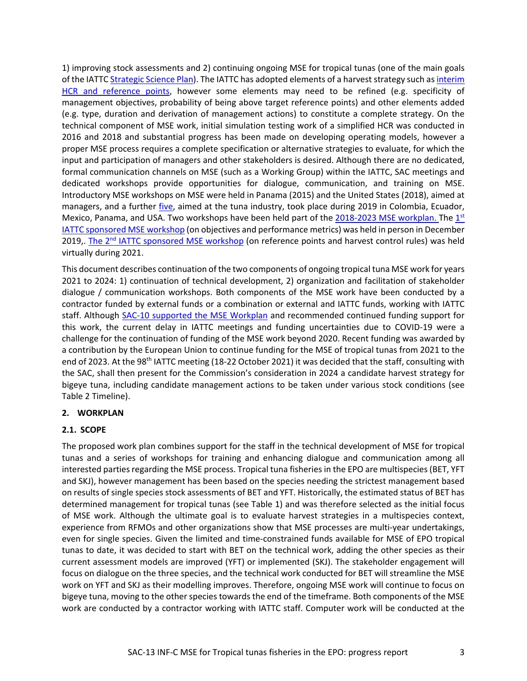1) improving stock assessments and 2) continuing ongoing MSE for tropical tunas (one of the main goals of the IATT[C Strategic Science Plan\)](https://www.iattc.org/Meetings/Meetings2018/IATTC-93/Docs/_English/IATTC-93-06a_Strategic%20Science%20Plan.pdf). The IATTC has adopted elements of a harvest strategy such as interim [HCR and reference points,](https://www.iattc.org/PDFFiles/Resolutions/IATTC/_English/C-16-02-Active_Harvest%20control%20rules.pdf) however some elements may need to be refined (e.g. specificity of management objectives, probability of being above target reference points) and other elements added (e.g. type, duration and derivation of management actions) to constitute a complete strategy. On the technical component of MSE work, initial simulation testing work of a simplified HCR was conducted in 2016 and 2018 and substantial progress has been made on developing operating models, however a proper MSE process requires a complete specification or alternative strategies to evaluate, for which the input and participation of managers and other stakeholders is desired. Although there are no dedicated, formal communication channels on MSE (such as a Working Group) within the IATTC, SAC meetings and dedicated workshops provide opportunities for dialogue, communication, and training on MSE. Introductory MSE workshops on MSE were held in Panama (2015) and the United States (2018), aimed at managers, and a further *five*, aimed at the tuna industry, took place during 2019 in Colombia, Ecuador, Mexico, Panama, and USA. Two workshops have been held part of the [2018-2023 MSE workplan.](https://www.iattc.org/Meetings/Meetings2019/IATTC-94/Docs/_English/IATTC-94-04_Staff%20activities%20and%20research%20plan.pdf#page=10) The  $1^{st}$ [IATTC sponsored MSE workshop](http://www.iattc.org/Meetings/Meetings2019/WSMSE-01/_English/WSMSE-01-RPT_1st%20Workshop%20on%20Management%20Strategy%20Evaluation%20for%20tropical%20tunas.pdf) (on objectives and performance metrics) was held in person in December 2019,. The 2<sup>nd</sup> [IATTC sponsored MSE workshop](https://www.iattc.org/Meetings/Meetings2021/WSMSE-02/2nd%C2%A0Workshop%20on%20MSE%20for%20tropical%20tunasENG.htm) (on reference points and harvest control rules) was held virtually during 2021.

This document describes continuation of the two components of ongoing tropical tuna MSE work for years 2021 to 2024: 1) continuation of technical development, 2) organization and facilitation of stakeholder dialogue / communication workshops. Both components of the MSE work have been conducted by a contractor funded by external funds or a combination or external and IATTC funds, working with IATTC staff. Although [SAC-10 supported the MSE Workplan](http://www.iattc.org/Meetings/Meetings2019/IATTC-94/Docs/_English/IATTC-94-02_Recommendations%20of%20the%2010th%20meeting%20of%20the%20Scientific%20Advisory%20Committee.pdf) and recommended continued funding support for this work, the current delay in IATTC meetings and funding uncertainties due to COVID-19 were a challenge for the continuation of funding of the MSE work beyond 2020. Recent funding was awarded by a contribution by the European Union to continue funding for the MSE of tropical tunas from 2021 to the end of 2023. At the 98<sup>th</sup> IATTC meeting (18-22 October 2021) it was decided that the staff, consulting with the SAC, shall then present for the Commission's consideration in 2024 a candidate harvest strategy for bigeye tuna, including candidate management actions to be taken under various stock conditions (see Table 2 Timeline).

#### <span id="page-2-0"></span>**2. WORKPLAN**

#### <span id="page-2-1"></span>**2.1. SCOPE**

The proposed work plan combines support for the staff in the technical development of MSE for tropical tunas and a series of workshops for training and enhancing dialogue and communication among all interested parties regarding the MSE process. Tropical tuna fisheries in the EPO are multispecies (BET, YFT and SKJ), however management has been based on the species needing the strictest management based on results of single species stock assessments of BET and YFT. Historically, the estimated status of BET has determined management for tropical tunas (see Table 1) and was therefore selected as the initial focus of MSE work. Although the ultimate goal is to evaluate harvest strategies in a multispecies context, experience from RFMOs and other organizations show that MSE processes are multi-year undertakings, even for single species. Given the limited and time-constrained funds available for MSE of EPO tropical tunas to date, it was decided to start with BET on the technical work, adding the other species as their current assessment models are improved (YFT) or implemented (SKJ). The stakeholder engagement will focus on dialogue on the three species, and the technical work conducted for BET will streamline the MSE work on YFT and SKJ as their modelling improves. Therefore, ongoing MSE work will continue to focus on bigeye tuna, moving to the other species towards the end of the timeframe. Both components of the MSE work are conducted by a contractor working with IATTC staff. Computer work will be conducted at the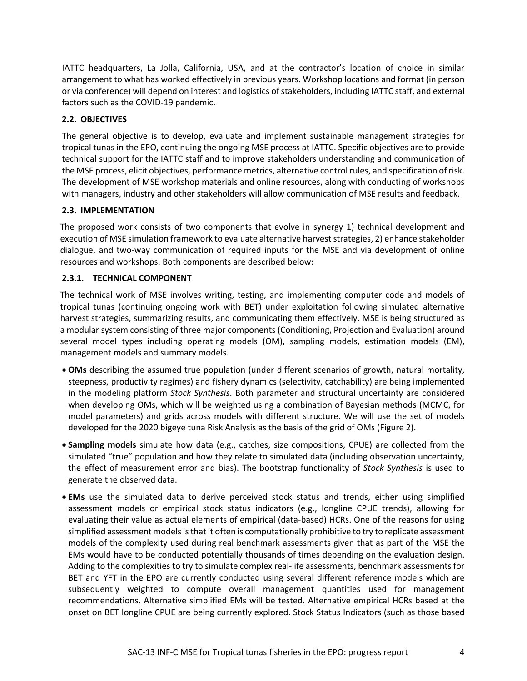IATTC headquarters, La Jolla, California, USA, and at the contractor's location of choice in similar arrangement to what has worked effectively in previous years. Workshop locations and format (in person or via conference) will depend on interest and logistics of stakeholders, including IATTC staff, and external factors such as the COVID-19 pandemic.

## <span id="page-3-0"></span>**2.2. OBJECTIVES**

The general objective is to develop, evaluate and implement sustainable management strategies for tropical tunas in the EPO, continuing the ongoing MSE process at IATTC. Specific objectives are to provide technical support for the IATTC staff and to improve stakeholders understanding and communication of the MSE process, elicit objectives, performance metrics, alternative control rules, and specification of risk. The development of MSE workshop materials and online resources, along with conducting of workshops with managers, industry and other stakeholders will allow communication of MSE results and feedback.

## <span id="page-3-1"></span>**2.3. IMPLEMENTATION**

The proposed work consists of two components that evolve in synergy 1) technical development and execution of MSE simulation framework to evaluate alternative harvest strategies, 2) enhance stakeholder dialogue, and two-way communication of required inputs for the MSE and via development of online resources and workshops. Both components are described below:

## <span id="page-3-2"></span>**2.3.1. TECHNICAL COMPONENT**

The technical work of MSE involves writing, testing, and implementing computer code and models of tropical tunas (continuing ongoing work with BET) under exploitation following simulated alternative harvest strategies, summarizing results, and communicating them effectively. MSE is being structured as a modular system consisting of three major components (Conditioning, Projection and Evaluation) around several model types including operating models (OM), sampling models, estimation models (EM), management models and summary models.

- **OMs** describing the assumed true population (under different scenarios of growth, natural mortality, steepness, productivity regimes) and fishery dynamics (selectivity, catchability) are being implemented in the modeling platform *Stock Synthesis*. Both parameter and structural uncertainty are considered when developing OMs, which will be weighted using a combination of Bayesian methods (MCMC, for model parameters) and grids across models with different structure. We will use the set of models developed for the 2020 bigeye tuna Risk Analysis as the basis of the grid of OMs (Figure 2).
- **Sampling models** simulate how data (e.g., catches, size compositions, CPUE) are collected from the simulated "true" population and how they relate to simulated data (including observation uncertainty, the effect of measurement error and bias). The bootstrap functionality of *Stock Synthesis* is used to generate the observed data.
- **EMs** use the simulated data to derive perceived stock status and trends, either using simplified assessment models or empirical stock status indicators (e.g., longline CPUE trends), allowing for evaluating their value as actual elements of empirical (data-based) HCRs. One of the reasons for using simplified assessment models is that it often is computationally prohibitive to try to replicate assessment models of the complexity used during real benchmark assessments given that as part of the MSE the EMs would have to be conducted potentially thousands of times depending on the evaluation design. Adding to the complexities to try to simulate complex real-life assessments, benchmark assessments for BET and YFT in the EPO are currently conducted using several different reference models which are subsequently weighted to compute overall management quantities used for management recommendations. Alternative simplified EMs will be tested. Alternative empirical HCRs based at the onset on BET longline CPUE are being currently explored. Stock Status Indicators (such as those based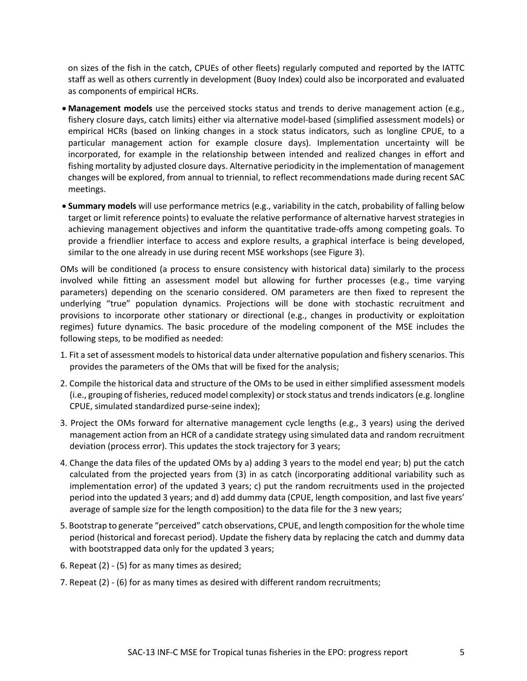on sizes of the fish in the catch, CPUEs of other fleets) regularly computed and reported by the IATTC staff as well as others currently in development (Buoy Index) could also be incorporated and evaluated as components of empirical HCRs.

- **Management models** use the perceived stocks status and trends to derive management action (e.g., fishery closure days, catch limits) either via alternative model-based (simplified assessment models) or empirical HCRs (based on linking changes in a stock status indicators, such as longline CPUE, to a particular management action for example closure days). Implementation uncertainty will be incorporated, for example in the relationship between intended and realized changes in effort and fishing mortality by adjusted closure days. Alternative periodicity in the implementation of management changes will be explored, from annual to triennial, to reflect recommendations made during recent SAC meetings.
- **Summary models** will use performance metrics (e.g., variability in the catch, probability of falling below target or limit reference points) to evaluate the relative performance of alternative harvest strategies in achieving management objectives and inform the quantitative trade-offs among competing goals. To provide a friendlier interface to access and explore results, a graphical interface is being developed, similar to the one already in use during recent MSE workshops (see Figure 3).

OMs will be conditioned (a process to ensure consistency with historical data) similarly to the process involved while fitting an assessment model but allowing for further processes (e.g., time varying parameters) depending on the scenario considered. OM parameters are then fixed to represent the underlying "true" population dynamics. Projections will be done with stochastic recruitment and provisions to incorporate other stationary or directional (e.g., changes in productivity or exploitation regimes) future dynamics. The basic procedure of the modeling component of the MSE includes the following steps, to be modified as needed:

- 1. Fit a set of assessment models to historical data under alternative population and fishery scenarios. This provides the parameters of the OMs that will be fixed for the analysis;
- 2. Compile the historical data and structure of the OMs to be used in either simplified assessment models (i.e., grouping of fisheries, reduced model complexity) or stock status and trends indicators (e.g. longline CPUE, simulated standardized purse-seine index);
- 3. Project the OMs forward for alternative management cycle lengths (e.g., 3 years) using the derived management action from an HCR of a candidate strategy using simulated data and random recruitment deviation (process error). This updates the stock trajectory for 3 years;
- 4. Change the data files of the updated OMs by a) adding 3 years to the model end year; b) put the catch calculated from the projected years from (3) in as catch (incorporating additional variability such as implementation error) of the updated 3 years; c) put the random recruitments used in the projected period into the updated 3 years; and d) add dummy data (CPUE, length composition, and last five years' average of sample size for the length composition) to the data file for the 3 new years;
- 5. Bootstrap to generate "perceived" catch observations, CPUE, and length composition for the whole time period (historical and forecast period). Update the fishery data by replacing the catch and dummy data with bootstrapped data only for the updated 3 years;
- 6. Repeat (2) (5) for as many times as desired;
- 7. Repeat (2) (6) for as many times as desired with different random recruitments;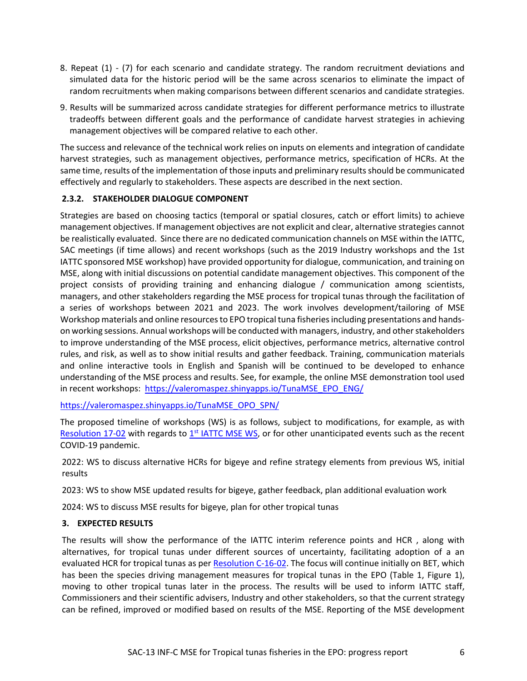- 8. Repeat (1) (7) for each scenario and candidate strategy. The random recruitment deviations and simulated data for the historic period will be the same across scenarios to eliminate the impact of random recruitments when making comparisons between different scenarios and candidate strategies.
- 9. Results will be summarized across candidate strategies for different performance metrics to illustrate tradeoffs between different goals and the performance of candidate harvest strategies in achieving management objectives will be compared relative to each other.

The success and relevance of the technical work relies on inputs on elements and integration of candidate harvest strategies, such as management objectives, performance metrics, specification of HCRs. At the same time, results of the implementation of those inputs and preliminary results should be communicated effectively and regularly to stakeholders. These aspects are described in the next section.

## <span id="page-5-0"></span>**2.3.2. STAKEHOLDER DIALOGUE COMPONENT**

Strategies are based on choosing tactics (temporal or spatial closures, catch or effort limits) to achieve management objectives. If management objectives are not explicit and clear, alternative strategies cannot be realistically evaluated. Since there are no dedicated communication channels on MSE within the IATTC, SAC meetings (if time allows) and recent workshops (such as the 2019 Industry workshops and the 1st IATTC sponsored MSE workshop) have provided opportunity for dialogue, communication, and training on MSE, along with initial discussions on potential candidate management objectives. This component of the project consists of providing training and enhancing dialogue / communication among scientists, managers, and other stakeholders regarding the MSE process for tropical tunas through the facilitation of a series of workshops between 2021 and 2023. The work involves development/tailoring of MSE Workshop materials and online resources to EPO tropical tuna fisheries including presentations and handson working sessions. Annual workshops will be conducted with managers, industry, and other stakeholders to improve understanding of the MSE process, elicit objectives, performance metrics, alternative control rules, and risk, as well as to show initial results and gather feedback. Training, communication materials and online interactive tools in English and Spanish will be continued to be developed to enhance understanding of the MSE process and results. See, for example, the online MSE demonstration tool used in recent workshops: [https://valeromaspez.shinyapps.io/TunaMSE\\_EPO\\_ENG/](https://valeromaspez.shinyapps.io/TunaMSE_EPO_ENG/)

[https://valeromaspez.shinyapps.io/TunaMSE\\_OPO\\_SPN/](https://valeromaspez.shinyapps.io/TunaMSE_OPO_SPN/)

The proposed timeline of workshops (WS) is as follows, subject to modifications, for example, as with [Resolution 17-02](http://www.iattc.org/PDFFiles/Resolutions/IATTC/_English/C-19-07-Active_Management%20Strategy%20Evaluation%20workshops.pdf) with regards to 1<sup>st</sup> [IATTC MSE WS,](http://www.iattc.org/Meetings/Meetings2019/WSMSE-01/_English/WSMSE-01-RPT_1st%20Workshop%20on%20Management%20Strategy%20Evaluation%20for%20tropical%20tunas.pdf) or for other unanticipated events such as the recent COVID-19 pandemic.

2022: WS to discuss alternative HCRs for bigeye and refine strategy elements from previous WS, initial results

2023: WS to show MSE updated results for bigeye, gather feedback, plan additional evaluation work

2024: WS to discuss MSE results for bigeye, plan for other tropical tunas

## <span id="page-5-1"></span>**3. EXPECTED RESULTS**

The results will show the performance of the IATTC interim reference points and HCR , along with alternatives, for tropical tunas under different sources of uncertainty, facilitating adoption of a an evaluated HCR for tropical tunas as per [Resolution C-16-02.](http://www.iattc.org/PDFFiles/Resolutions/IATTC/_English/C-16-02-Active_Harvest%20control%20rules.pdf) The focus will continue initially on BET, which has been the species driving management measures for tropical tunas in the EPO (Table 1, Figure 1), moving to other tropical tunas later in the process. The results will be used to inform IATTC staff, Commissioners and their scientific advisers, Industry and other stakeholders, so that the current strategy can be refined, improved or modified based on results of the MSE. Reporting of the MSE development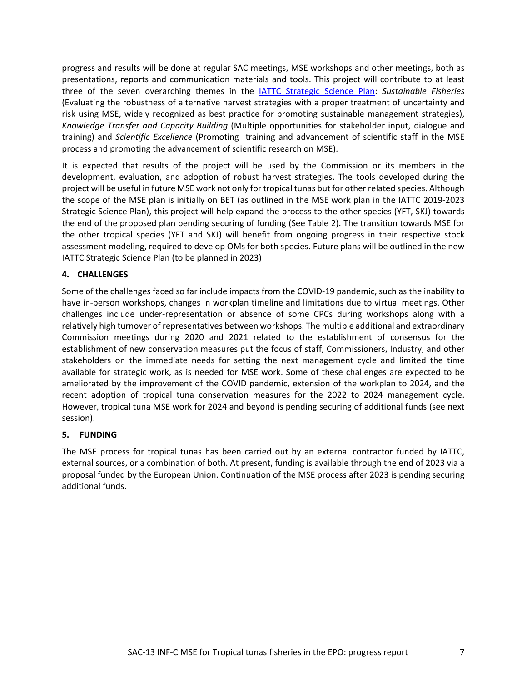progress and results will be done at regular SAC meetings, MSE workshops and other meetings, both as presentations, reports and communication materials and tools. This project will contribute to at least three of the seven overarching themes in the [IATTC Strategic Science Plan:](https://www.iattc.org/Meetings/Meetings2018/IATTC-93/Docs/_English/IATTC-93-06a_Strategic%20Science%20Plan.pdf) *Sustainable Fisheries* (Evaluating the robustness of alternative harvest strategies with a proper treatment of uncertainty and risk using MSE, widely recognized as best practice for promoting sustainable management strategies), *Knowledge Transfer and Capacity Building* (Multiple opportunities for stakeholder input, dialogue and training) and *Scientific Excellence* (Promoting training and advancement of scientific staff in the MSE process and promoting the advancement of scientific research on MSE).

It is expected that results of the project will be used by the Commission or its members in the development, evaluation, and adoption of robust harvest strategies. The tools developed during the project will be useful in future MSE work not only for tropical tunas but for other related species. Although the scope of the MSE plan is initially on BET (as outlined in the MSE work plan in the IATTC 2019-2023 Strategic Science Plan), this project will help expand the process to the other species (YFT, SKJ) towards the end of the proposed plan pending securing of funding (See Table 2). The transition towards MSE for the other tropical species (YFT and SKJ) will benefit from ongoing progress in their respective stock assessment modeling, required to develop OMs for both species. Future plans will be outlined in the new IATTC Strategic Science Plan (to be planned in 2023)

#### <span id="page-6-0"></span>**4. CHALLENGES**

Some of the challenges faced so far include impacts from the COVID-19 pandemic, such as the inability to have in-person workshops, changes in workplan timeline and limitations due to virtual meetings. Other challenges include under-representation or absence of some CPCs during workshops along with a relatively high turnover of representatives between workshops. The multiple additional and extraordinary Commission meetings during 2020 and 2021 related to the establishment of consensus for the establishment of new conservation measures put the focus of staff, Commissioners, Industry, and other stakeholders on the immediate needs for setting the next management cycle and limited the time available for strategic work, as is needed for MSE work. Some of these challenges are expected to be ameliorated by the improvement of the COVID pandemic, extension of the workplan to 2024, and the recent adoption of tropical tuna conservation measures for the 2022 to 2024 management cycle. However, tropical tuna MSE work for 2024 and beyond is pending securing of additional funds (see next session).

#### <span id="page-6-1"></span>**5. FUNDING**

The MSE process for tropical tunas has been carried out by an external contractor funded by IATTC, external sources, or a combination of both. At present, funding is available through the end of 2023 via a proposal funded by the European Union. Continuation of the MSE process after 2023 is pending securing additional funds.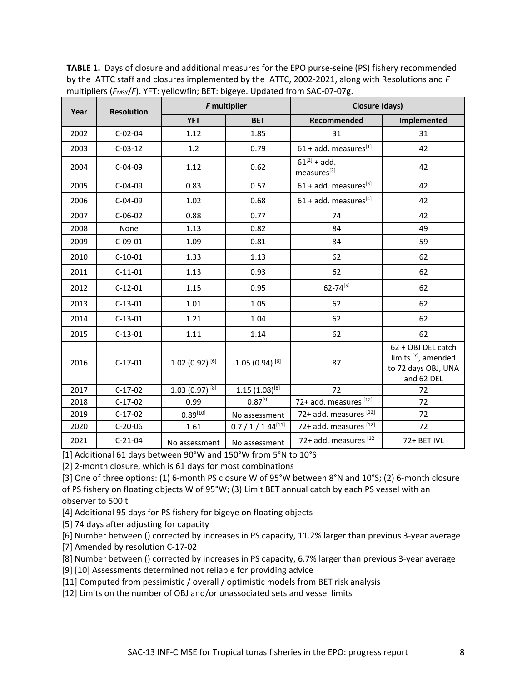**Year** Resolution *F* multiplier **Closure (days) YFT BET Recommended Implemented** 2002 C-02-04 1.12 1.85 31 31 31 2003 C-03-12 1.2 0.79 61 + add. measures[1] 42 2004 C-04-09 1.12 0.62  $\begin{bmatrix} 61^{[2]} + \text{add.} \\ \text{measurable} \end{bmatrix}$  $61^{[2]} + add.$ <br>measures<sup>[3]</sup> 42 2005 C-04-09 0.83 0.57 61 + add. measures<sup>[3]</sup> 42 2006 C-04-09 1.02 0.68 61 + add. measures<sup>[4]</sup> 42 2007 C-06-02 0.88 0.77 24 74 42 2008 | None | 1.13 | 0.82 | 84 | 49 2009 C-09-01 | 1.09 | 0.81 | 84 | 59 2010 C-10-01 1.33 1.13 62 62 2011 C-11-01 1.13 0.93 62 62 62 2012 C-12-01 1.15 0.95 62-74<sup>[5]</sup> 62 2013 C-13-01 1.01 1.05 1.05 62 1.05 2014 C-13-01 1.21 1.04 62 62 62 2015 C-13-01 1.11 1.14 62 62 2016 C-17-01  $[1.02 (0.92)^{[6]}$  1.05  $(0.94)^{[6]}$  87 62 + OBJ DEL catch limits [7], amended to 72 days OBJ, UNA and 62 DEL 2017 C-17-02  $1.03 (0.97)^{[8]}$  1.15  $(1.08)^{[8]}$  72 72 2018 C-17-02 0.99 0.87<sup>[9]</sup> 72+ add. measures  $^{[12]}$  72 2019 C-17-02 0.89<sup>[10]</sup> No assessment 72+ add. measures  $^{[12]}$  72 2020 C-20-06 1.61 0.7 / 1 / 1.44<sup>[11]</sup> 72+ add. measures <sup>[12]</sup> 72 2021 C-21-04 No assessment No assessment 72+ add. measures [12 | 72+ BET IVL

**TABLE 1.** Days of closure and additional measures for the EPO purse-seine (PS) fishery recommended by the IATTC staff and closures implemented by the IATTC, 2002-2021, along with Resolutions and *F* multipliers ( $F_{MSY}/F$ ). YFT: yellowfin; BET: bigeye. Updated from SAC-07-07g.

[1] Additional 61 days between 90°W and 150°W from 5°N to 10°S

[2] 2-month closure, which is 61 days for most combinations

[3] One of three options: (1) 6-month PS closure W of 95°W between 8°N and 10°S; (2) 6-month closure of PS fishery on floating objects W of 95°W; (3) Limit BET annual catch by each PS vessel with an observer to 500 t

[4] Additional 95 days for PS fishery for bigeye on floating objects

[5] 74 days after adjusting for capacity

[6] Number between () corrected by increases in PS capacity, 11.2% larger than previous 3-year average

[7] Amended by resolution C-17-02

[8] Number between () corrected by increases in PS capacity, 6.7% larger than previous 3-year average

[9] [10] Assessments determined not reliable for providing advice

[11] Computed from pessimistic / overall / optimistic models from BET risk analysis

[12] Limits on the number of OBJ and/or unassociated sets and vessel limits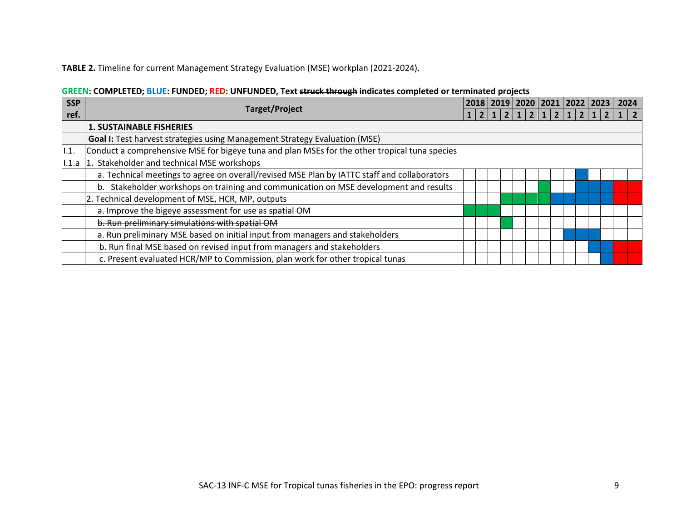## **TABLE 2.** Timeline for current Management Strategy Evaluation (MSE) workplan (2021-2024).

# **GREEN: COMPLETED; BLUE: FUNDED; RED: UNFUNDED, Text struck through indicates completed or terminated projects**

| <b>SSP</b> | Target/Project                                                                                |  |  | 2019 |  | 2020 |                | 2021   2022   2023 |  |  | 2024 |  |
|------------|-----------------------------------------------------------------------------------------------|--|--|------|--|------|----------------|--------------------|--|--|------|--|
| ref.       |                                                                                               |  |  |      |  |      | $\overline{2}$ | 1 2                |  |  |      |  |
|            | <b>1. SUSTAINABLE FISHERIES</b>                                                               |  |  |      |  |      |                |                    |  |  |      |  |
|            | <b>Goal I:</b> Test harvest strategies using Management Strategy Evaluation (MSE)             |  |  |      |  |      |                |                    |  |  |      |  |
| 1.1.       | Conduct a comprehensive MSE for bigeye tuna and plan MSEs for the other tropical tuna species |  |  |      |  |      |                |                    |  |  |      |  |
| 1.1.a      | 1. Stakeholder and technical MSE workshops                                                    |  |  |      |  |      |                |                    |  |  |      |  |
|            | a. Technical meetings to agree on overall/revised MSE Plan by IATTC staff and collaborators   |  |  |      |  |      |                |                    |  |  |      |  |
|            | Stakeholder workshops on training and communication on MSE development and results<br>b.      |  |  |      |  |      |                |                    |  |  |      |  |
|            | 2. Technical development of MSE, HCR, MP, outputs                                             |  |  |      |  |      |                |                    |  |  |      |  |
|            | a. Improve the bigeye assessment for use as spatial OM                                        |  |  |      |  |      |                |                    |  |  |      |  |
|            | b. Run preliminary simulations with spatial OM                                                |  |  |      |  |      |                |                    |  |  |      |  |
|            | a. Run preliminary MSE based on initial input from managers and stakeholders                  |  |  |      |  |      |                |                    |  |  |      |  |
|            | b. Run final MSE based on revised input from managers and stakeholders                        |  |  |      |  |      |                |                    |  |  |      |  |
|            | c. Present evaluated HCR/MP to Commission, plan work for other tropical tunas                 |  |  |      |  |      |                |                    |  |  |      |  |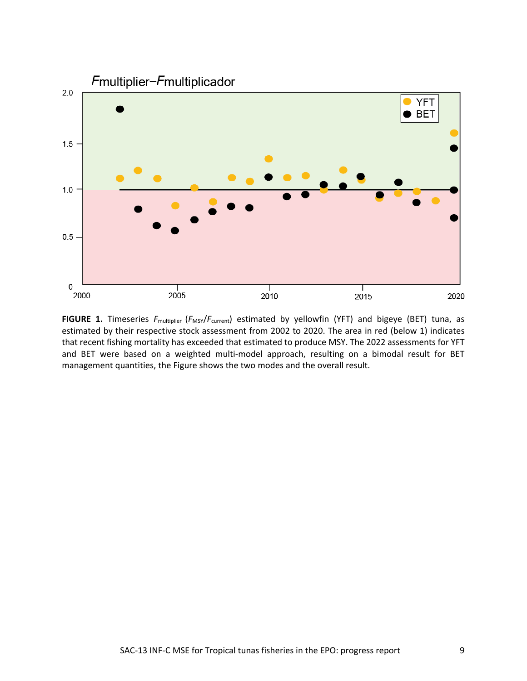

FIGURE 1. Timeseries  $F_{\text{multiplier}}$  ( $F_{\text{MSY}}/F_{\text{current}}$ ) estimated by yellowfin (YFT) and bigeye (BET) tuna, as estimated by their respective stock assessment from 2002 to 2020. The area in red (below 1) indicates that recent fishing mortality has exceeded that estimated to produce MSY. The 2022 assessments for YFT and BET were based on a weighted multi-model approach, resulting on a bimodal result for BET management quantities, the Figure shows the two modes and the overall result.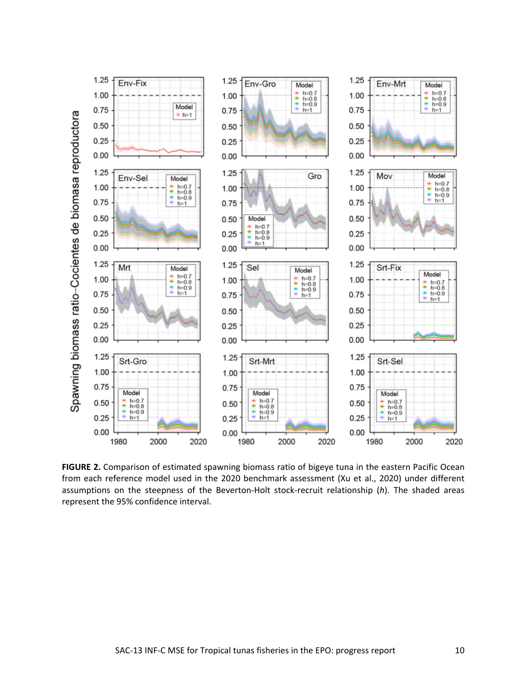

**FIGURE 2.** Comparison of estimated spawning biomass ratio of bigeye tuna in the eastern Pacific Ocean from each reference model used in the 2020 benchmark assessment (Xu et al., 2020) under different assumptions on the steepness of the Beverton-Holt stock-recruit relationship (*h*). The shaded areas represent the 95% confidence interval.